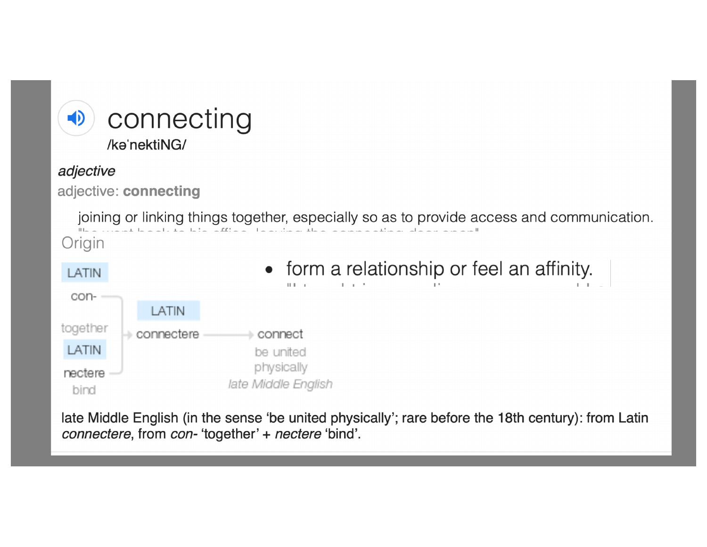

### adjective

adjective: connecting

joining or linking things together, especially so as to provide access and communication.

| Origin            |            |                                                                                                    |
|-------------------|------------|----------------------------------------------------------------------------------------------------|
| LATIN             |            | • form a relationship or feel an affinity.<br><b>Links</b><br>$\mathbf{H} \mathbf{H} = \mathbf{H}$ |
| con-              |            |                                                                                                    |
|                   | LATIN      |                                                                                                    |
| together<br>LATIN | connectere | connect<br>be united                                                                               |
| nectere<br>bind   |            | physically<br>late Middle English                                                                  |

late Middle English (in the sense 'be united physically'; rare before the 18th century): from Latin connectere, from con-'together' + nectere 'bind'.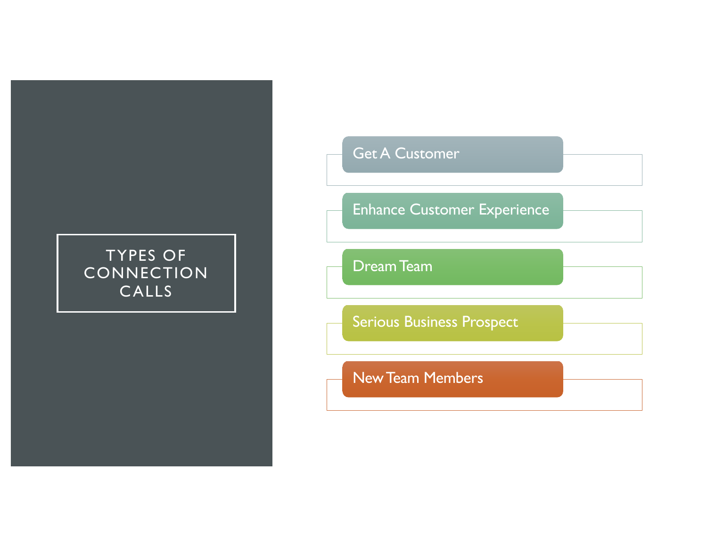### TYPES OF **CONNECTION** CALLS

### Get A Customer

Enhance Customer Experience

Dream Team

Serious Business Prospect

New Team Members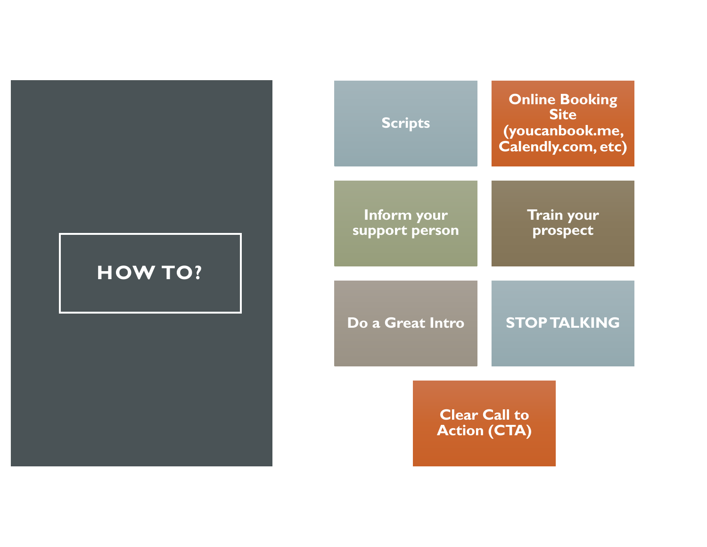# **HOW TO?**

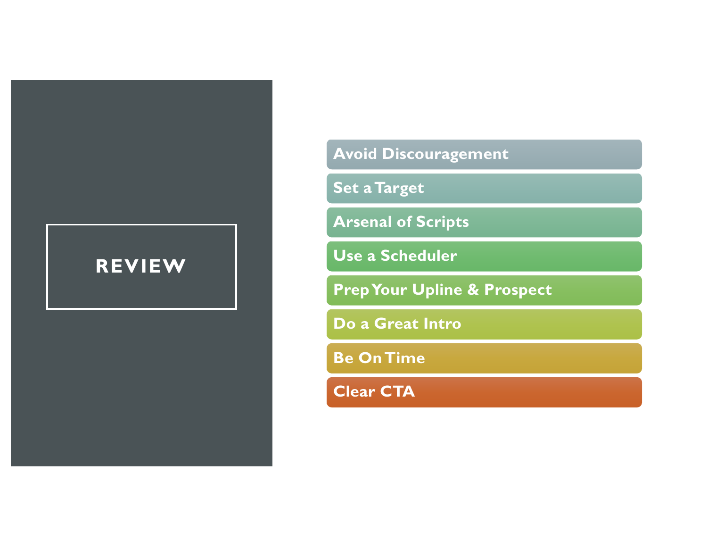### **REVIEW**

**Avoid Discouragement**

**Set a Target**

**Arsenal of Scripts**

**Use a Scheduler**

**Prep Your Upline & Prospect**

**Do a Great Intro**

**Be On Time**

**Clear CTA**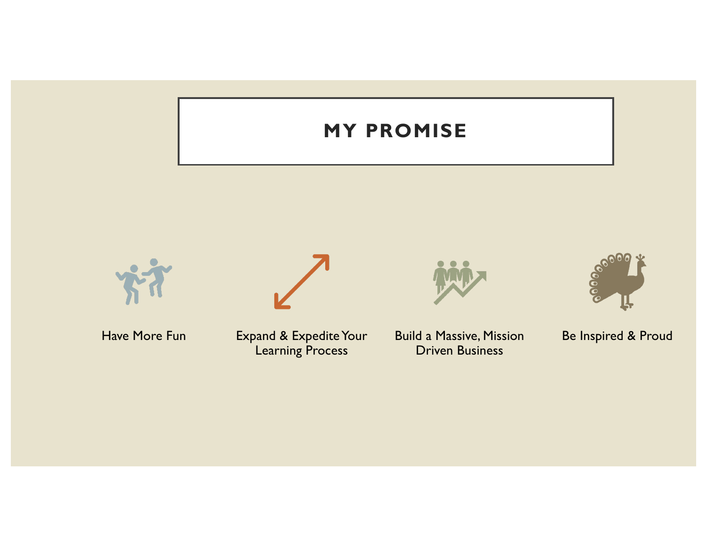## **MY PROMISE**



Have More Fun **Expand & Expedite Your** Learning Process

Build a Massive, Mission Driven Business



Be Inspired & Proud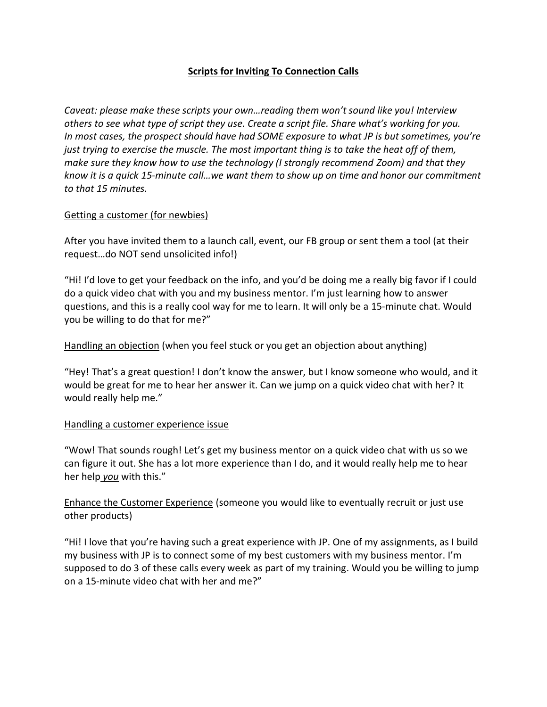#### **Scripts for Inviting To Connection Calls**

*Caveat: please make these scripts your own…reading them won't sound like you! Interview others to see what type of script they use. Create a script file. Share what's working for you. In most cases, the prospect should have had SOME exposure to what JP is but sometimes, you're just trying to exercise the muscle. The most important thing is to take the heat off of them, make sure they know how to use the technology (I strongly recommend Zoom) and that they know it is a quick 15-minute call…we want them to show up on time and honor our commitment to that 15 minutes.*

#### Getting a customer (for newbies)

After you have invited them to a launch call, event, our FB group or sent them a tool (at their request…do NOT send unsolicited info!)

"Hi! I'd love to get your feedback on the info, and you'd be doing me a really big favor if I could do a quick video chat with you and my business mentor. I'm just learning how to answer questions, and this is a really cool way for me to learn. It will only be a 15-minute chat. Would you be willing to do that for me?"

Handling an objection (when you feel stuck or you get an objection about anything)

"Hey! That's a great question! I don't know the answer, but I know someone who would, and it would be great for me to hear her answer it. Can we jump on a quick video chat with her? It would really help me."

#### Handling a customer experience issue

"Wow! That sounds rough! Let's get my business mentor on a quick video chat with us so we can figure it out. She has a lot more experience than I do, and it would really help me to hear her help *you* with this."

Enhance the Customer Experience (someone you would like to eventually recruit or just use other products)

"Hi! I love that you're having such a great experience with JP. One of my assignments, as I build my business with JP is to connect some of my best customers with my business mentor. I'm supposed to do 3 of these calls every week as part of my training. Would you be willing to jump on a 15-minute video chat with her and me?"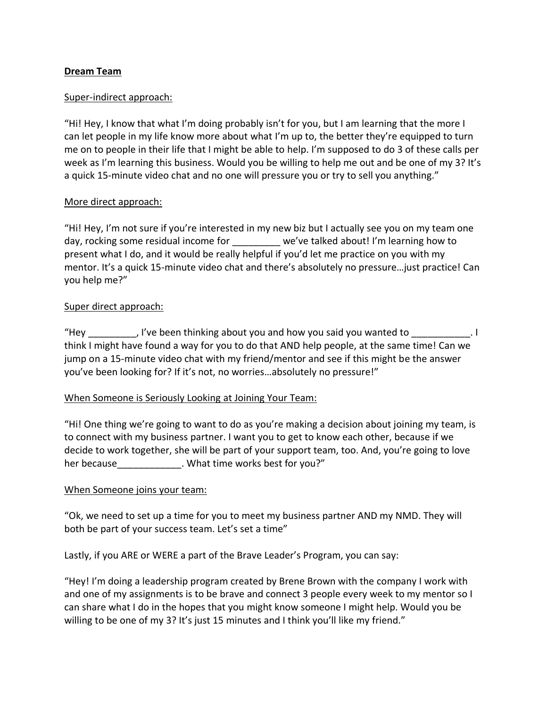#### **Dream Team**

#### Super-indirect approach:

"Hi! Hey, I know that what I'm doing probably isn't for you, but I am learning that the more I can let people in my life know more about what I'm up to, the better they're equipped to turn me on to people in their life that I might be able to help. I'm supposed to do 3 of these calls per week as I'm learning this business. Would you be willing to help me out and be one of my 3? It's a quick 15-minute video chat and no one will pressure you or try to sell you anything."

#### More direct approach:

"Hi! Hey, I'm not sure if you're interested in my new biz but I actually see you on my team one day, rocking some residual income for example we've talked about! I'm learning how to present what I do, and it would be really helpful if you'd let me practice on you with my mentor. It's a quick 15-minute video chat and there's absolutely no pressure…just practice! Can you help me?"

#### Super direct approach:

"Hey five been thinking about you and how you said you wanted to the same of the linking about you and how you said you wanted to think I might have found a way for you to do that AND help people, at the same time! Can we jump on a 15-minute video chat with my friend/mentor and see if this might be the answer you've been looking for? If it's not, no worries…absolutely no pressure!"

#### When Someone is Seriously Looking at Joining Your Team:

"Hi! One thing we're going to want to do as you're making a decision about joining my team, is to connect with my business partner. I want you to get to know each other, because if we decide to work together, she will be part of your support team, too. And, you're going to love her because Ther because the substance works best for you?"

#### When Someone joins your team:

"Ok, we need to set up a time for you to meet my business partner AND my NMD. They will both be part of your success team. Let's set a time"

Lastly, if you ARE or WERE a part of the Brave Leader's Program, you can say:

"Hey! I'm doing a leadership program created by Brene Brown with the company I work with and one of my assignments is to be brave and connect 3 people every week to my mentor so I can share what I do in the hopes that you might know someone I might help. Would you be willing to be one of my 3? It's just 15 minutes and I think you'll like my friend."